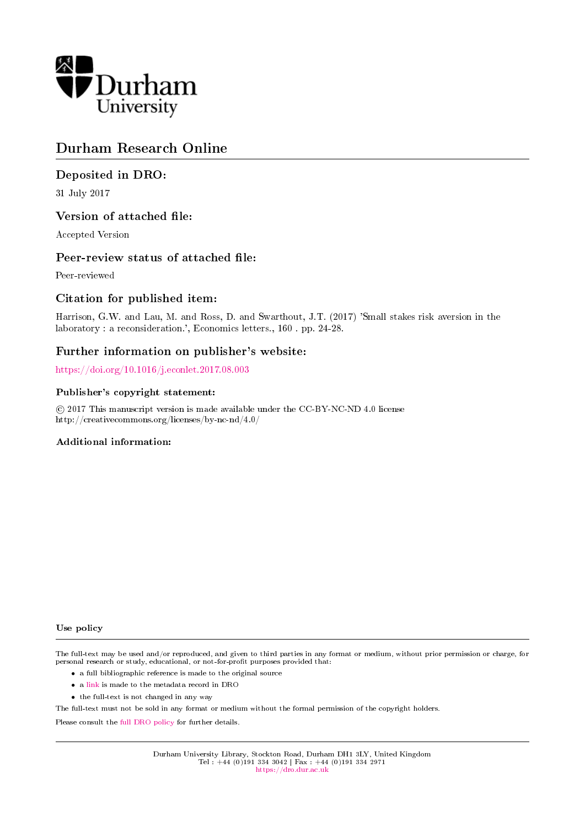

# Durham Research Online

## Deposited in DRO:

31 July 2017

## Version of attached file:

Accepted Version

### Peer-review status of attached file:

Peer-reviewed

## Citation for published item:

Harrison, G.W. and Lau, M. and Ross, D. and Swarthout, J.T. (2017) 'Small stakes risk aversion in the laboratory : a reconsideration.', Economics letters., 160 . pp. 24-28.

## Further information on publisher's website:

<https://doi.org/10.1016/j.econlet.2017.08.003>

#### Publisher's copyright statement:

 c 2017 This manuscript version is made available under the CC-BY-NC-ND 4.0 license http://creativecommons.org/licenses/by-nc-nd/4.0/

#### Additional information:

#### Use policy

The full-text may be used and/or reproduced, and given to third parties in any format or medium, without prior permission or charge, for personal research or study, educational, or not-for-profit purposes provided that:

- a full bibliographic reference is made to the original source
- a [link](http://dro.dur.ac.uk/22498/) is made to the metadata record in DRO
- the full-text is not changed in any way

The full-text must not be sold in any format or medium without the formal permission of the copyright holders.

Please consult the [full DRO policy](https://dro.dur.ac.uk/policies/usepolicy.pdf) for further details.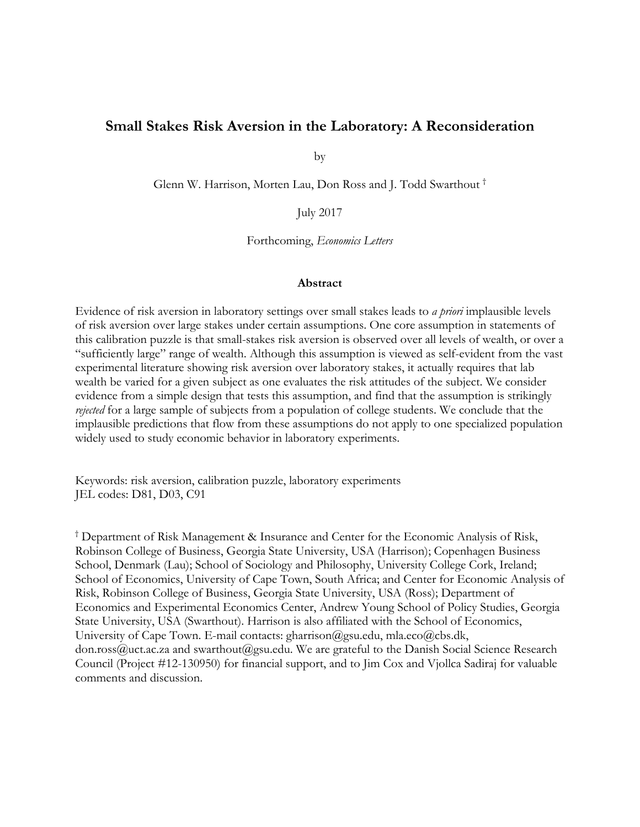## **Small Stakes Risk Aversion in the Laboratory: A Reconsideration**

by

Glenn W. Harrison, Morten Lau, Don Ross and J. Todd Swarthout †

July 2017

Forthcoming, *Economics Letters*

#### **Abstract**

Evidence of risk aversion in laboratory settings over small stakes leads to *a priori* implausible levels of risk aversion over large stakes under certain assumptions. One core assumption in statements of this calibration puzzle is that small-stakes risk aversion is observed over all levels of wealth, or over a "sufficiently large" range of wealth. Although this assumption is viewed as self-evident from the vast experimental literature showing risk aversion over laboratory stakes, it actually requires that lab wealth be varied for a given subject as one evaluates the risk attitudes of the subject. We consider evidence from a simple design that tests this assumption, and find that the assumption is strikingly *rejected* for a large sample of subjects from a population of college students. We conclude that the implausible predictions that flow from these assumptions do not apply to one specialized population widely used to study economic behavior in laboratory experiments.

Keywords: risk aversion, calibration puzzle, laboratory experiments JEL codes: D81, D03, C91

† Department of Risk Management & Insurance and Center for the Economic Analysis of Risk, Robinson College of Business, Georgia State University, USA (Harrison); Copenhagen Business School, Denmark (Lau); School of Sociology and Philosophy, University College Cork, Ireland; School of Economics, University of Cape Town, South Africa; and Center for Economic Analysis of Risk, Robinson College of Business, Georgia State University, USA (Ross); Department of Economics and Experimental Economics Center, Andrew Young School of Policy Studies, Georgia State University, USA (Swarthout). Harrison is also affiliated with the School of Economics, University of Cape Town. E-mail contacts: gharrison@gsu.edu, mla.eco@cbs.dk, don.ross@uct.ac.za and swarthout@gsu.edu. We are grateful to the Danish Social Science Research Council (Project #12-130950) for financial support, and to Jim Cox and Vjollca Sadiraj for valuable comments and discussion.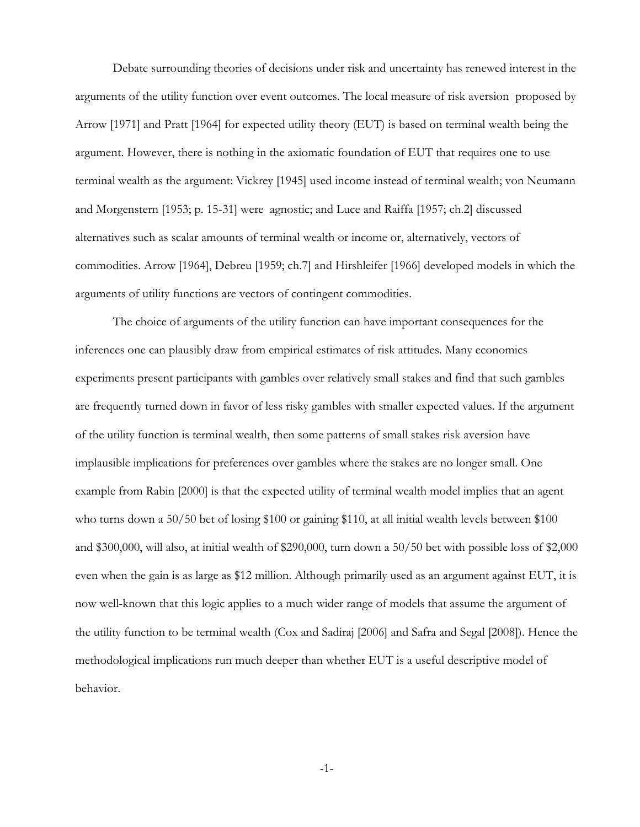Debate surrounding theories of decisions under risk and uncertainty has renewed interest in the arguments of the utility function over event outcomes. The local measure of risk aversion proposed by Arrow [1971] and Pratt [1964] for expected utility theory (EUT) is based on terminal wealth being the argument. However, there is nothing in the axiomatic foundation of EUT that requires one to use terminal wealth as the argument: Vickrey [1945] used income instead of terminal wealth; von Neumann and Morgenstern [1953; p. 15-31] were agnostic; and Luce and Raiffa [1957; ch.2] discussed alternatives such as scalar amounts of terminal wealth or income or, alternatively, vectors of commodities. Arrow [1964], Debreu [1959; ch.7] and Hirshleifer [1966] developed models in which the arguments of utility functions are vectors of contingent commodities.

The choice of arguments of the utility function can have important consequences for the inferences one can plausibly draw from empirical estimates of risk attitudes. Many economics experiments present participants with gambles over relatively small stakes and find that such gambles are frequently turned down in favor of less risky gambles with smaller expected values. If the argument of the utility function is terminal wealth, then some patterns of small stakes risk aversion have implausible implications for preferences over gambles where the stakes are no longer small. One example from Rabin [2000] is that the expected utility of terminal wealth model implies that an agent who turns down a 50/50 bet of losing \$100 or gaining \$110, at all initial wealth levels between \$100 and \$300,000, will also, at initial wealth of \$290,000, turn down a 50/50 bet with possible loss of \$2,000 even when the gain is as large as \$12 million. Although primarily used as an argument against EUT, it is now well-known that this logic applies to a much wider range of models that assume the argument of the utility function to be terminal wealth (Cox and Sadiraj [2006] and Safra and Segal [2008]). Hence the methodological implications run much deeper than whether EUT is a useful descriptive model of behavior.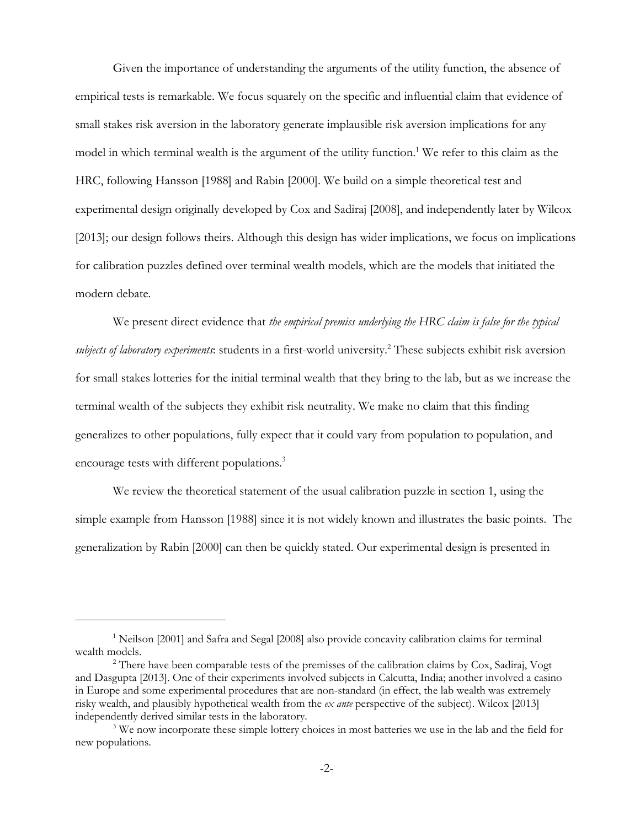Given the importance of understanding the arguments of the utility function, the absence of empirical tests is remarkable. We focus squarely on the specific and influential claim that evidence of small stakes risk aversion in the laboratory generate implausible risk aversion implications for any model in which terminal wealth is the argument of the utility function.<sup>1</sup> We refer to this claim as the HRC, following Hansson [1988] and Rabin [2000]. We build on a simple theoretical test and experimental design originally developed by Cox and Sadiraj [2008], and independently later by Wilcox [2013]; our design follows theirs. Although this design has wider implications, we focus on implications for calibration puzzles defined over terminal wealth models, which are the models that initiated the modern debate.

We present direct evidence that *the empirical premiss underlying the HRC claim is false for the typical* subjects of laboratory experiments: students in a first-world university.<sup>2</sup> These subjects exhibit risk aversion for small stakes lotteries for the initial terminal wealth that they bring to the lab, but as we increase the terminal wealth of the subjects they exhibit risk neutrality. We make no claim that this finding generalizes to other populations, fully expect that it could vary from population to population, and encourage tests with different populations.<sup>3</sup>

We review the theoretical statement of the usual calibration puzzle in section 1, using the simple example from Hansson [1988] since it is not widely known and illustrates the basic points. The generalization by Rabin [2000] can then be quickly stated. Our experimental design is presented in

<sup>&</sup>lt;sup>1</sup> Neilson [2001] and Safra and Segal [2008] also provide concavity calibration claims for terminal wealth models.

<sup>&</sup>lt;sup>2</sup> There have been comparable tests of the premisses of the calibration claims by Cox, Sadiraj, Vogt and Dasgupta [2013]. One of their experiments involved subjects in Calcutta, India; another involved a casino in Europe and some experimental procedures that are non-standard (in effect, the lab wealth was extremely risky wealth, and plausibly hypothetical wealth from the *ex ante* perspective of the subject). Wilcox [2013] independently derived similar tests in the laboratory.

<sup>&</sup>lt;sup>3</sup> We now incorporate these simple lottery choices in most batteries we use in the lab and the field for new populations.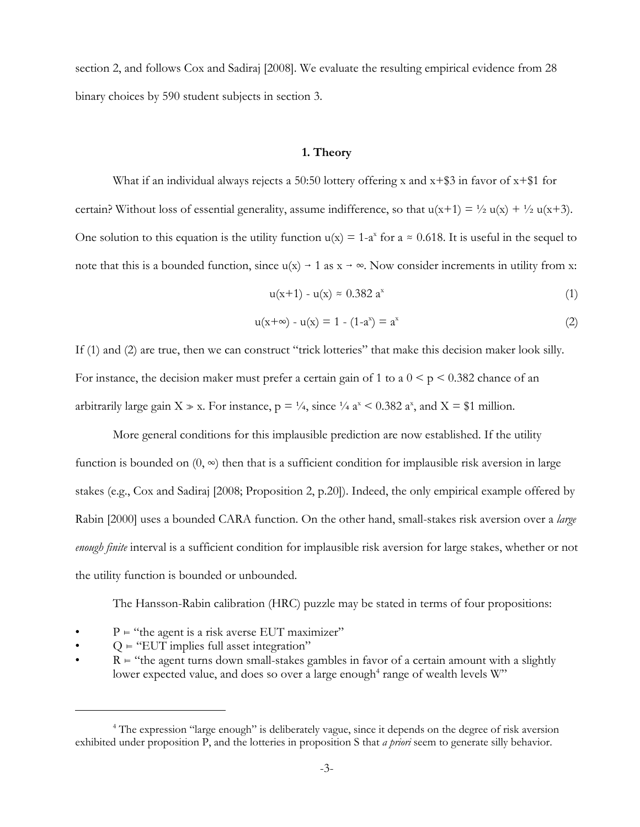section 2, and follows Cox and Sadiraj [2008]. We evaluate the resulting empirical evidence from 28 binary choices by 590 student subjects in section 3.

#### **1. Theory**

What if an individual always rejects a 50:50 lottery offering x and  $x+$ \$3 in favor of  $x+$ \$1 for certain? Without loss of essential generality, assume indifference, so that  $u(x+1) = \frac{1}{2} u(x) + \frac{1}{2} u(x+3)$ . One solution to this equation is the utility function  $u(x) = 1-a^x$  for  $a \approx 0.618$ . It is useful in the sequel to note that this is a bounded function, since  $u(x) \rightarrow 1$  as  $x \rightarrow \infty$ . Now consider increments in utility from x:

$$
u(x+1) - u(x) \approx 0.382 \, a^x \tag{1}
$$

$$
u(x+\infty) - u(x) = 1 - (1-a^x) = a^x
$$
 (2)

If (1) and (2) are true, then we can construct "trick lotteries" that make this decision maker look silly. For instance, the decision maker must prefer a certain gain of 1 to a  $0 \le p \le 0.382$  chance of an arbitrarily large gain  $X \gg x$ . For instance,  $p = \frac{1}{4}$ , since  $\frac{1}{4}$  a<sup>x</sup> < 0.382 a<sup>x</sup>, and  $X = $1$  million.

More general conditions for this implausible prediction are now established. If the utility function is bounded on  $(0, \infty)$  then that is a sufficient condition for implausible risk aversion in large stakes (e.g., Cox and Sadiraj [2008; Proposition 2, p.20]). Indeed, the only empirical example offered by Rabin [2000] uses a bounded CARA function. On the other hand, small-stakes risk aversion over a *large enough finite* interval is a sufficient condition for implausible risk aversion for large stakes, whether or not the utility function is bounded or unbounded.

The Hansson-Rabin calibration (HRC) puzzle may be stated in terms of four propositions:

- $P =$  "the agent is a risk averse EUT maximizer"
- $Q \in \text{``EUT implies full asset integration''}$
- $R \vDash$  "the agent turns down small-stakes gambles in favor of a certain amount with a slightly lower expected value, and does so over a large enough $^4$  range of wealth levels W"

<sup>&</sup>lt;sup>4</sup> The expression "large enough" is deliberately vague, since it depends on the degree of risk aversion exhibited under proposition P, and the lotteries in proposition S that *a priori* seem to generate silly behavior.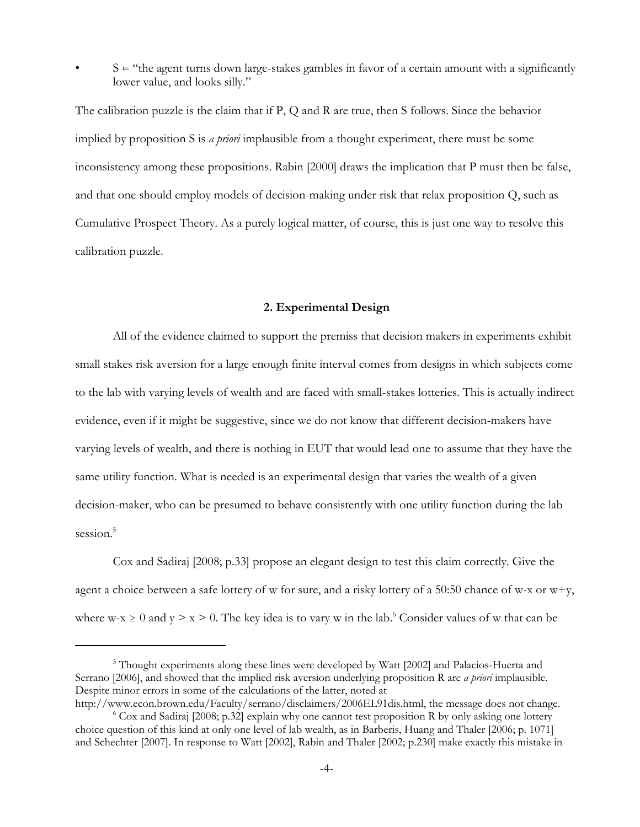$S =$ "the agent turns down large-stakes gambles in favor of a certain amount with a significantly lower value, and looks silly."

The calibration puzzle is the claim that if P, Q and R are true, then S follows. Since the behavior implied by proposition S is *a priori* implausible from a thought experiment, there must be some inconsistency among these propositions. Rabin [2000] draws the implication that P must then be false, and that one should employ models of decision-making under risk that relax proposition Q, such as Cumulative Prospect Theory. As a purely logical matter, of course, this is just one way to resolve this calibration puzzle.

#### **2. Experimental Design**

All of the evidence claimed to support the premiss that decision makers in experiments exhibit small stakes risk aversion for a large enough finite interval comes from designs in which subjects come to the lab with varying levels of wealth and are faced with small-stakes lotteries. This is actually indirect evidence, even if it might be suggestive, since we do not know that different decision-makers have varying levels of wealth, and there is nothing in EUT that would lead one to assume that they have the same utility function. What is needed is an experimental design that varies the wealth of a given decision-maker, who can be presumed to behave consistently with one utility function during the lab session.<sup>5</sup>

Cox and Sadiraj [2008; p.33] propose an elegant design to test this claim correctly. Give the agent a choice between a safe lottery of w for sure, and a risky lottery of a 50:50 chance of w-x or  $w+y$ , where w-x  $\geq 0$  and y  $> x > 0$ . The key idea is to vary w in the lab.<sup>6</sup> Consider values of w that can be

<sup>&</sup>lt;sup>5</sup> Thought experiments along these lines were developed by Watt [2002] and Palacios-Huerta and Serrano [2006], and showed that the implied risk aversion underlying proposition R are *a priori* implausible. Despite minor errors in some of the calculations of the latter, noted at

http://www.econ.brown.edu/Faculty/serrano/disclaimers/2006EL91dis.html, the message does not change. 6  $6$  Cox and Sadiraj [2008; p.32] explain why one cannot test proposition R by only asking one lottery choice question of this kind at only one level of lab wealth, as in Barberis, Huang and Thaler [2006; p. 1071] and Schechter [2007]. In response to Watt [2002], Rabin and Thaler [2002; p.230] make exactly this mistake in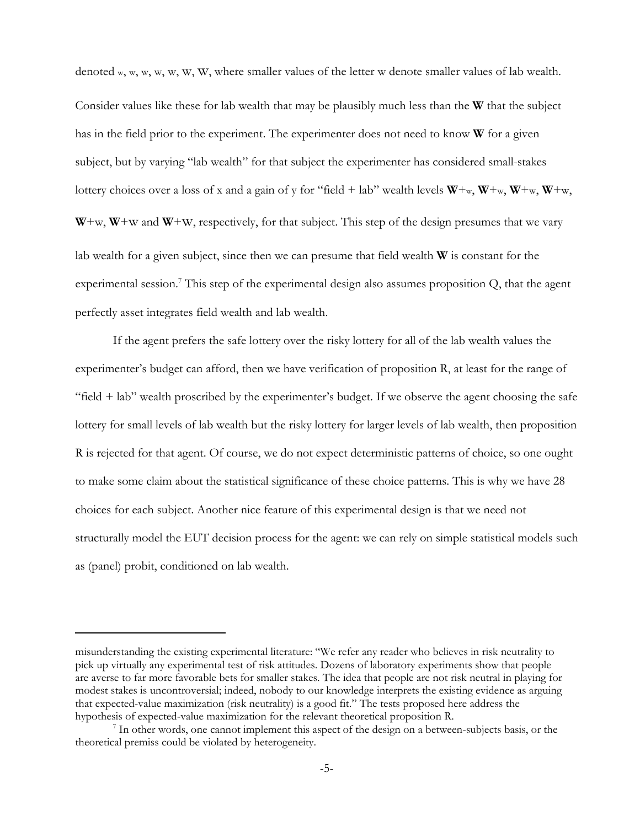denoted w, w, w, w, w, W, W, where smaller values of the letter w denote smaller values of lab wealth. Consider values like these for lab wealth that may be plausibly much less than the **W** that the subject has in the field prior to the experiment. The experimenter does not need to know **W** for a given subject, but by varying "lab wealth" for that subject the experimenter has considered small-stakes lottery choices over a loss of x and a gain of y for "field + lab" wealth levels **W**+w, **W**+w, **W**+w, **W**+w,  $W+w$ ,  $W+w$  and  $W+w$ , respectively, for that subject. This step of the design presumes that we vary lab wealth for a given subject, since then we can presume that field wealth **W** is constant for the experimental session.<sup>7</sup> This step of the experimental design also assumes proposition Q, that the agent perfectly asset integrates field wealth and lab wealth.

If the agent prefers the safe lottery over the risky lottery for all of the lab wealth values the experimenter's budget can afford, then we have verification of proposition R, at least for the range of "field + lab" wealth proscribed by the experimenter's budget. If we observe the agent choosing the safe lottery for small levels of lab wealth but the risky lottery for larger levels of lab wealth, then proposition R is rejected for that agent. Of course, we do not expect deterministic patterns of choice, so one ought to make some claim about the statistical significance of these choice patterns. This is why we have 28 choices for each subject. Another nice feature of this experimental design is that we need not structurally model the EUT decision process for the agent: we can rely on simple statistical models such as (panel) probit, conditioned on lab wealth.

misunderstanding the existing experimental literature: "We refer any reader who believes in risk neutrality to pick up virtually any experimental test of risk attitudes. Dozens of laboratory experiments show that people are averse to far more favorable bets for smaller stakes. The idea that people are not risk neutral in playing for modest stakes is uncontroversial; indeed, nobody to our knowledge interprets the existing evidence as arguing that expected-value maximization (risk neutrality) is a good fit." The tests proposed here address the hypothesis of expected-value maximization for the relevant theoretical proposition R.

<sup>&</sup>lt;sup>7</sup> In other words, one cannot implement this aspect of the design on a between-subjects basis, or the theoretical premiss could be violated by heterogeneity.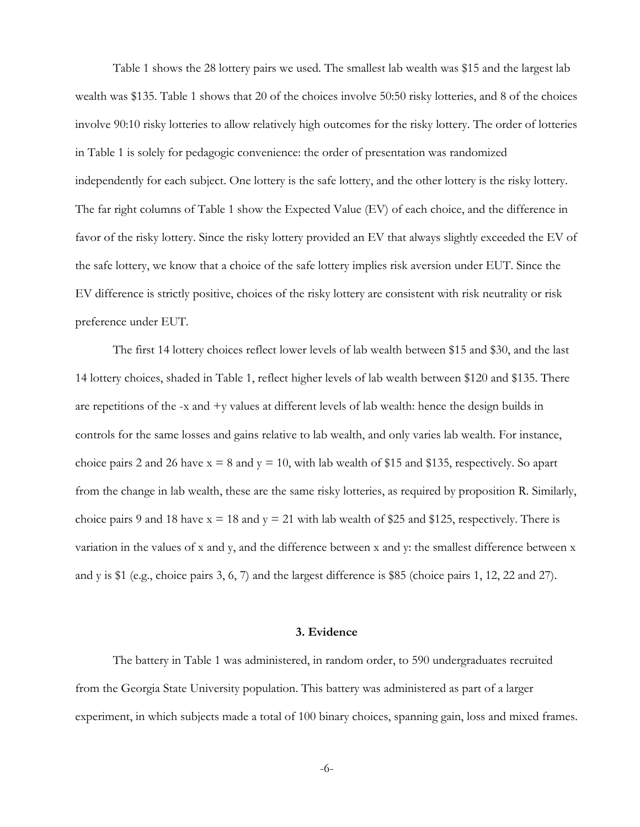Table 1 shows the 28 lottery pairs we used. The smallest lab wealth was \$15 and the largest lab wealth was \$135. Table 1 shows that 20 of the choices involve 50:50 risky lotteries, and 8 of the choices involve 90:10 risky lotteries to allow relatively high outcomes for the risky lottery. The order of lotteries in Table 1 is solely for pedagogic convenience: the order of presentation was randomized independently for each subject. One lottery is the safe lottery, and the other lottery is the risky lottery. The far right columns of Table 1 show the Expected Value (EV) of each choice, and the difference in favor of the risky lottery. Since the risky lottery provided an EV that always slightly exceeded the EV of the safe lottery, we know that a choice of the safe lottery implies risk aversion under EUT. Since the EV difference is strictly positive, choices of the risky lottery are consistent with risk neutrality or risk preference under EUT.

The first 14 lottery choices reflect lower levels of lab wealth between \$15 and \$30, and the last 14 lottery choices, shaded in Table 1, reflect higher levels of lab wealth between \$120 and \$135. There are repetitions of the  $-x$  and  $+y$  values at different levels of lab wealth: hence the design builds in controls for the same losses and gains relative to lab wealth, and only varies lab wealth. For instance, choice pairs 2 and 26 have  $x = 8$  and  $y = 10$ , with lab wealth of \$15 and \$135, respectively. So apart from the change in lab wealth, these are the same risky lotteries, as required by proposition R. Similarly, choice pairs 9 and 18 have  $x = 18$  and  $y = 21$  with lab wealth of \$25 and \$125, respectively. There is variation in the values of x and y, and the difference between x and y: the smallest difference between x and y is \$1 (e.g., choice pairs 3, 6, 7) and the largest difference is \$85 (choice pairs 1, 12, 22 and 27).

#### **3. Evidence**

The battery in Table 1 was administered, in random order, to 590 undergraduates recruited from the Georgia State University population. This battery was administered as part of a larger experiment, in which subjects made a total of 100 binary choices, spanning gain, loss and mixed frames.

-6-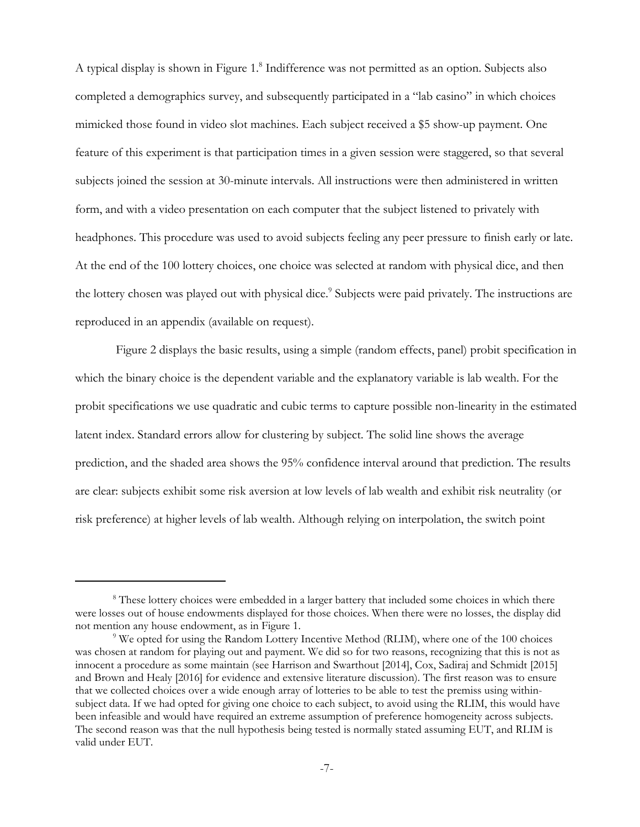A typical display is shown in Figure 1.8 Indifference was not permitted as an option. Subjects also completed a demographics survey, and subsequently participated in a "lab casino" in which choices mimicked those found in video slot machines. Each subject received a \$5 show-up payment. One feature of this experiment is that participation times in a given session were staggered, so that several subjects joined the session at 30-minute intervals. All instructions were then administered in written form, and with a video presentation on each computer that the subject listened to privately with headphones. This procedure was used to avoid subjects feeling any peer pressure to finish early or late. At the end of the 100 lottery choices, one choice was selected at random with physical dice, and then the lottery chosen was played out with physical dice.<sup>9</sup> Subjects were paid privately. The instructions are reproduced in an appendix (available on request).

 Figure 2 displays the basic results, using a simple (random effects, panel) probit specification in which the binary choice is the dependent variable and the explanatory variable is lab wealth. For the probit specifications we use quadratic and cubic terms to capture possible non-linearity in the estimated latent index. Standard errors allow for clustering by subject. The solid line shows the average prediction, and the shaded area shows the 95% confidence interval around that prediction. The results are clear: subjects exhibit some risk aversion at low levels of lab wealth and exhibit risk neutrality (or risk preference) at higher levels of lab wealth. Although relying on interpolation, the switch point

<sup>&</sup>lt;sup>8</sup> These lottery choices were embedded in a larger battery that included some choices in which there were losses out of house endowments displayed for those choices. When there were no losses, the display did not mention any house endowment, as in Figure 1.

<sup>&</sup>lt;sup>9</sup> We opted for using the Random Lottery Incentive Method (RLIM), where one of the 100 choices was chosen at random for playing out and payment. We did so for two reasons, recognizing that this is not as innocent a procedure as some maintain (see Harrison and Swarthout [2014], Cox, Sadiraj and Schmidt [2015] and Brown and Healy [2016] for evidence and extensive literature discussion). The first reason was to ensure that we collected choices over a wide enough array of lotteries to be able to test the premiss using withinsubject data. If we had opted for giving one choice to each subject, to avoid using the RLIM, this would have been infeasible and would have required an extreme assumption of preference homogeneity across subjects. The second reason was that the null hypothesis being tested is normally stated assuming EUT, and RLIM is valid under EUT.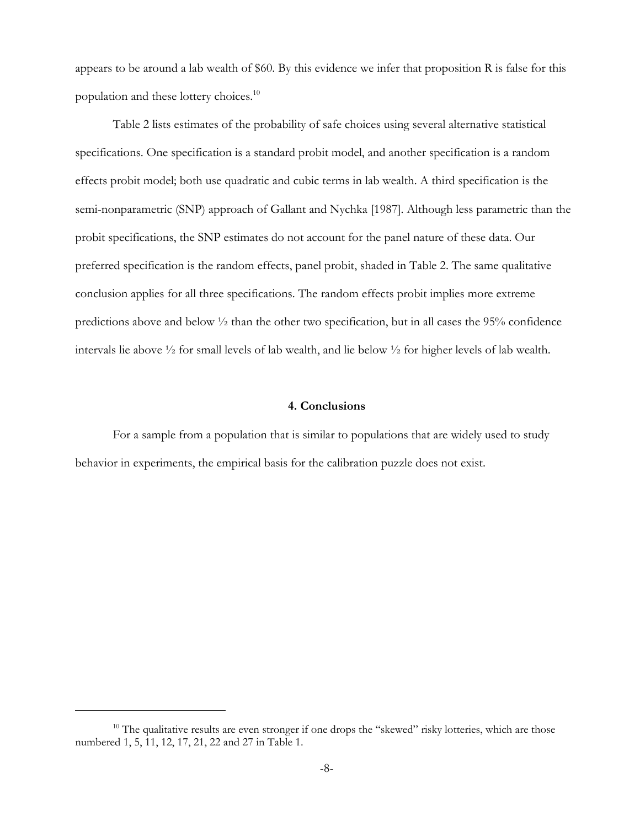appears to be around a lab wealth of \$60. By this evidence we infer that proposition R is false for this population and these lottery choices.10

Table 2 lists estimates of the probability of safe choices using several alternative statistical specifications. One specification is a standard probit model, and another specification is a random effects probit model; both use quadratic and cubic terms in lab wealth. A third specification is the semi-nonparametric (SNP) approach of Gallant and Nychka [1987]. Although less parametric than the probit specifications, the SNP estimates do not account for the panel nature of these data. Our preferred specification is the random effects, panel probit, shaded in Table 2. The same qualitative conclusion applies for all three specifications. The random effects probit implies more extreme predictions above and below ½ than the other two specification, but in all cases the 95% confidence intervals lie above ½ for small levels of lab wealth, and lie below ½ for higher levels of lab wealth.

#### **4. Conclusions**

For a sample from a population that is similar to populations that are widely used to study behavior in experiments, the empirical basis for the calibration puzzle does not exist.

<sup>&</sup>lt;sup>10</sup> The qualitative results are even stronger if one drops the "skewed" risky lotteries, which are those numbered 1, 5, 11, 12, 17, 21, 22 and 27 in Table 1.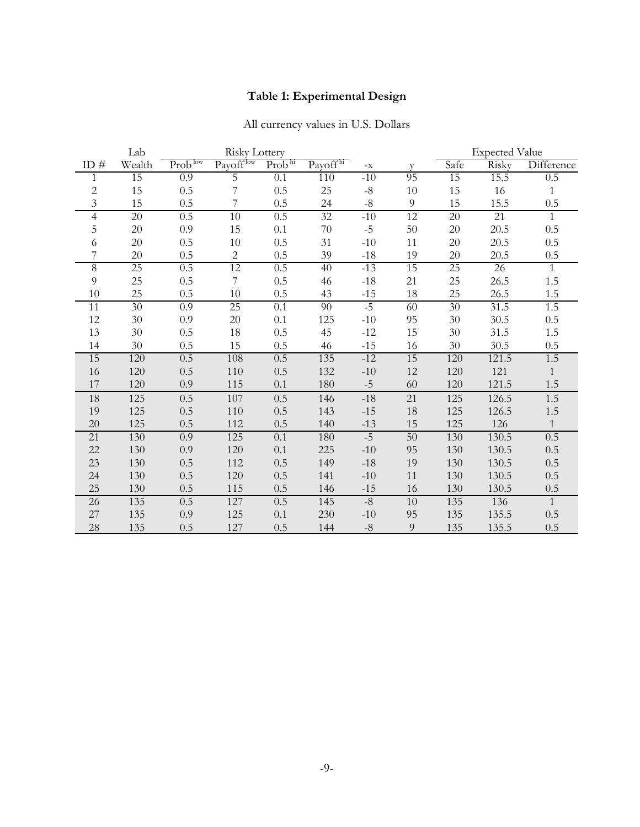## **Table 1: Experimental Design**

# All currency values in U.S. Dollars

|                 | Lab             | <b>Risky Lottery</b> |                 |                    |                      |              |                | <b>Expected Value</b> |       |                |  |
|-----------------|-----------------|----------------------|-----------------|--------------------|----------------------|--------------|----------------|-----------------------|-------|----------------|--|
| ID $#$          | Wealth          | Prob <sup>low</sup>  | Payofflow       | Prob <sup>hi</sup> | Payoff <sup>hi</sup> | $-{\bf X}$   | V              | Safe                  | Risky | Difference     |  |
| 1               | 15              | 0.9                  | 5               | 0.1                | 110                  | $-10$        | 95             | 15                    | 15.5  | 0.5            |  |
| $\overline{c}$  | 15              | 0.5                  | 7               | 0.5                | 25                   | $-8$         | 10             | 15                    | 16    | $\mathbf{1}$   |  |
| 3               | 15              | 0.5                  |                 | 0.5                | 24                   | $-8$         | 9              | 15                    | 15.5  | 0.5            |  |
| 4               | $\overline{20}$ | 0.5                  | $\overline{10}$ | 0.5                | 32                   | $-10$        | 12             | 20                    | 21    | $\mathbf{1}$   |  |
| 5               | $20\,$          | 0.9                  | 15              | 0.1                | 70                   | $-5$         | 50             | $20\,$                | 20.5  | 0.5            |  |
| 6               | $20\,$          | 0.5                  | $10\,$          | 0.5                | 31                   | $-10$        | $11\,$         | 20                    | 20.5  | 0.5            |  |
|                 | 20              | 0.5                  | $\mathbf{2}$    | 0.5                | 39                   | $-18$        | 19             | 20                    | 20.5  | 0.5            |  |
| 8               | $\overline{25}$ | 0.5                  | $\overline{12}$ | 0.5                | 40                   | $-13$        | 15             | 25                    | 26    | $\mathbf{1}$   |  |
| $\overline{9}$  | 25              | 0.5                  | 7               | 0.5                | 46                   | $-18$        | 21             | 25                    | 26.5  | 1.5            |  |
| 10              | 25              | 0.5                  | 10              | 0.5                | 43                   | $-15$        | 18             | 25                    | 26.5  | 1.5            |  |
| 11              | $\overline{30}$ | 0.9                  | $\overline{25}$ | 0.1                | $\overline{90}$      | $-5$         | 60             | $30\,$                | 31.5  | 1.5            |  |
| $12\,$          | $30\,$          | 0.9                  | $20\,$          | 0.1                | 125                  | $-10$        | 95             | 30                    | 30.5  | $0.5\,$        |  |
| 13              | 30              | 0.5                  | 18              | 0.5                | 45                   | $-12$        | 15             | 30                    | 31.5  | 1.5            |  |
| 14              | 30              | 0.5                  | 15              | 0.5                | 46                   | $-15$        | 16             | 30                    | 30.5  | 0.5            |  |
| 15              | 120             | 0.5                  | $108\,$         | 0.5                | 135                  | $-12$        | 15             | 120                   | 121.5 | 1.5            |  |
| 16              | 120             | 0.5                  | $110\,$         | 0.5                | 132                  | $-10$        | 12             | 120                   | 121   | $\mathbf{1}$   |  |
| 17              | 120             | 0.9                  | 115             | 0.1                | 180                  | $-5$         | 60             | 120                   | 121.5 | 1.5            |  |
| 18              | 125             | 0.5                  | 107             | 0.5                | 146                  | $-18$        | 21             | 125                   | 126.5 | 1.5            |  |
| 19              | 125             | 0.5                  | 110             | 0.5                | 143                  | $-15$        | 18             | 125                   | 126.5 | 1.5            |  |
| 20              | 125             | 0.5                  | 112             | 0.5                | 140                  | $-13$        | 15             | 125                   | 126   | $\mathbf{1}$   |  |
| 21              | 130             | 0.9                  | 125             | 0.1                | 180                  | $-5$         | 50             | 130                   | 130.5 | 0.5            |  |
| 22              | 130             | 0.9                  | 120             | 0.1                | 225                  | $-10$        | 95             | 130                   | 130.5 | 0.5            |  |
| 23              | 130             | 0.5                  | 112             | 0.5                | 149                  | $-18$        | 19             | 130                   | 130.5 | 0.5            |  |
| 24              | 130             | 0.5                  | 120             | 0.5                | 141                  | $-10$        | 11             | 130                   | 130.5 | 0.5            |  |
| 25              | 130             | 0.5                  | 115             | 0.5                | 146                  | $-15$        | 16             | 130                   | 130.5 | $0.5\,$        |  |
| $\overline{26}$ | 135             | 0.5                  | 127             | 0.5                | 145                  | $-8$         | 10             | 135                   | 136   | $\overline{1}$ |  |
| 27              | 135             | 0.9                  | 125             | 0.1                | 230                  | $\mbox{-}10$ | 95             | 135                   | 135.5 | 0.5            |  |
| 28              | 135             | 0.5                  | 127             | 0.5                | 144                  | $-8$         | $\overline{9}$ | 135                   | 135.5 | 0.5            |  |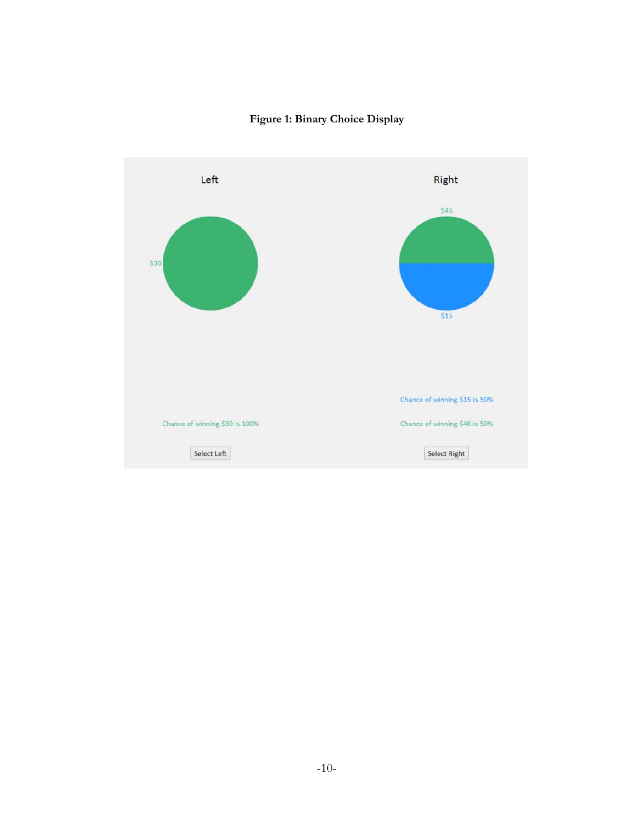

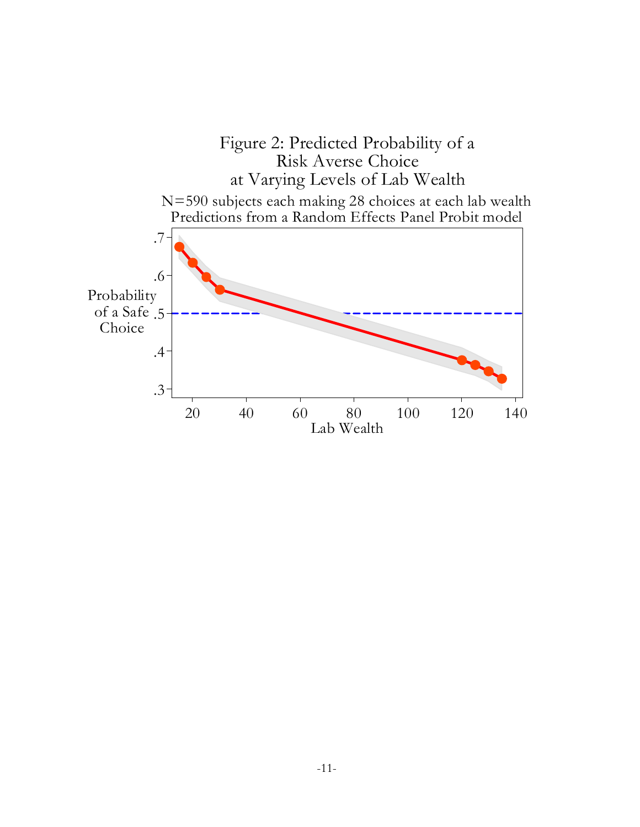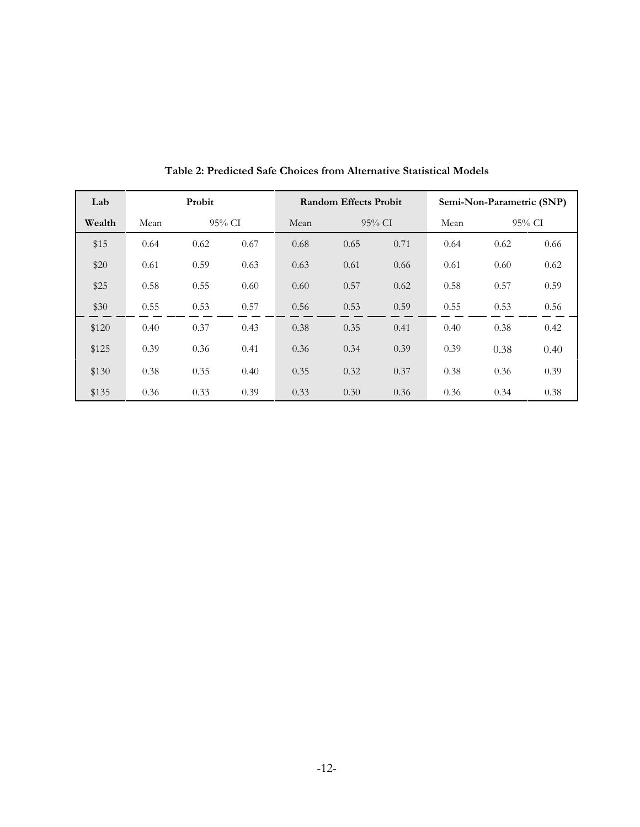| Lab    | Probit |        |      |      | <b>Random Effects Probit</b> |      | Semi-Non-Parametric (SNP) |           |      |
|--------|--------|--------|------|------|------------------------------|------|---------------------------|-----------|------|
| Wealth | Mean   | 95% CI |      | Mean | $95\%$ CI                    |      | Mean                      | $95\%$ CI |      |
| \$15   | 0.64   | 0.62   | 0.67 | 0.68 | 0.65                         | 0.71 | 0.64                      | 0.62      | 0.66 |
| \$20   | 0.61   | 0.59   | 0.63 | 0.63 | 0.61                         | 0.66 | 0.61                      | 0.60      | 0.62 |
| \$25   | 0.58   | 0.55   | 0.60 | 0.60 | 0.57                         | 0.62 | 0.58                      | 0.57      | 0.59 |
| \$30   | 0.55   | 0.53   | 0.57 | 0.56 | 0.53                         | 0.59 | 0.55                      | 0.53      | 0.56 |
| \$120  | 0.40   | 0.37   | 0.43 | 0.38 | 0.35                         | 0.41 | 0.40                      | 0.38      | 0.42 |
| \$125  | 0.39   | 0.36   | 0.41 | 0.36 | 0.34                         | 0.39 | 0.39                      | 0.38      | 0.40 |
| \$130  | 0.38   | 0.35   | 0.40 | 0.35 | 0.32                         | 0.37 | 0.38                      | 0.36      | 0.39 |
| \$135  | 0.36   | 0.33   | 0.39 | 0.33 | 0.30                         | 0.36 | 0.36                      | 0.34      | 0.38 |

**Table 2: Predicted Safe Choices from Alternative Statistical Models**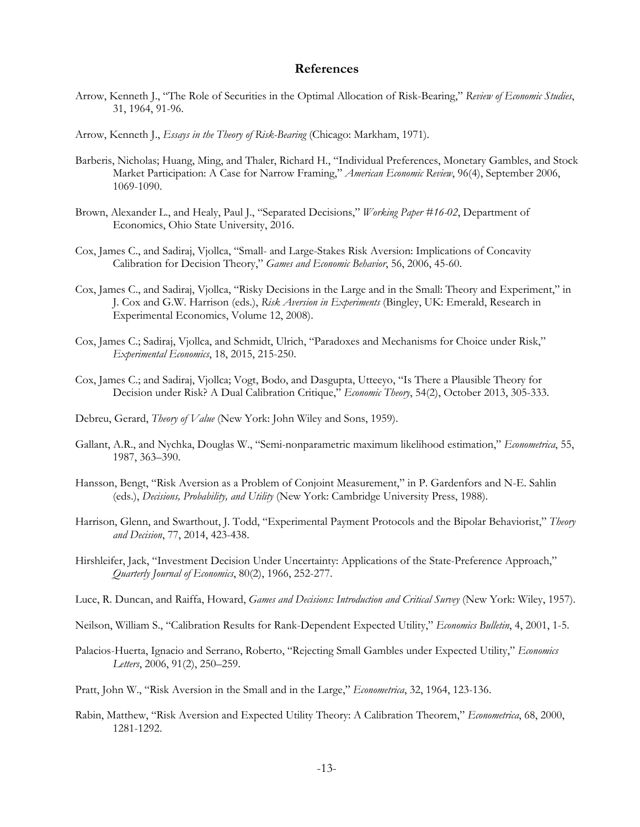## **References**

- Arrow, Kenneth J., "The Role of Securities in the Optimal Allocation of Risk-Bearing," *Review of Economic Studies*, 31, 1964, 91-96.
- Arrow, Kenneth J., *Essays in the Theory of Risk-Bearing* (Chicago: Markham, 1971).
- Barberis, Nicholas; Huang, Ming, and Thaler, Richard H., "Individual Preferences, Monetary Gambles, and Stock Market Participation: A Case for Narrow Framing," *American Economic Review*, 96(4), September 2006, 1069-1090.
- Brown, Alexander L., and Healy, Paul J., "Separated Decisions," *Working Paper #16-02*, Department of Economics, Ohio State University, 2016.
- Cox, James C., and Sadiraj, Vjollca, "Small- and Large-Stakes Risk Aversion: Implications of Concavity Calibration for Decision Theory," *Games and Economic Behavior*, 56, 2006, 45-60.
- Cox, James C., and Sadiraj, Vjollca, "Risky Decisions in the Large and in the Small: Theory and Experiment," in J. Cox and G.W. Harrison (eds.), *Risk Aversion in Experiments* (Bingley, UK: Emerald, Research in Experimental Economics, Volume 12, 2008).
- Cox, James C.; Sadiraj, Vjollca, and Schmidt, Ulrich, "Paradoxes and Mechanisms for Choice under Risk," *Experimental Economics*, 18, 2015, 215-250.
- Cox, James C.; and Sadiraj, Vjollca; Vogt, Bodo, and Dasgupta, Utteeyo, "Is There a Plausible Theory for Decision under Risk? A Dual Calibration Critique," *Economic Theory*, 54(2), October 2013, 305-333.
- Debreu, Gerard, *Theory of Value* (New York: John Wiley and Sons, 1959).
- Gallant, A.R., and Nychka, Douglas W., "Semi-nonparametric maximum likelihood estimation," *Econometrica*, 55, 1987, 363–390.
- Hansson, Bengt, "Risk Aversion as a Problem of Conjoint Measurement," in P. Gardenfors and N-E. Sahlin (eds.), *Decisions, Probability, and Utility* (New York: Cambridge University Press, 1988).
- Harrison, Glenn, and Swarthout, J. Todd, "Experimental Payment Protocols and the Bipolar Behaviorist," *Theory and Decision*, 77, 2014, 423-438.
- Hirshleifer, Jack, "Investment Decision Under Uncertainty: Applications of the State-Preference Approach," *Quarterly Journal of Economics*, 80(2), 1966, 252-277.
- Luce, R. Duncan, and Raiffa, Howard, *Games and Decisions: Introduction and Critical Survey* (New York: Wiley, 1957).
- Neilson, William S., "Calibration Results for Rank-Dependent Expected Utility," *Economics Bulletin*, 4, 2001, 1-5.
- Palacios-Huerta, Ignacio and Serrano, Roberto, "Rejecting Small Gambles under Expected Utility," *Economics Letters*, 2006, 91(2), 250–259.
- Pratt, John W., "Risk Aversion in the Small and in the Large," *Econometrica*, 32, 1964, 123-136.
- Rabin, Matthew, "Risk Aversion and Expected Utility Theory: A Calibration Theorem," *Econometrica*, 68, 2000, 1281-1292.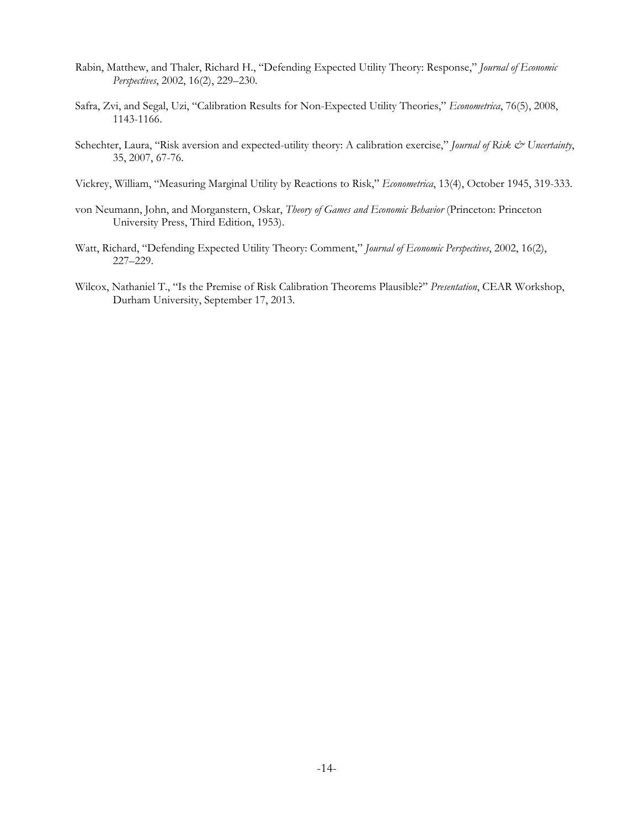- Rabin, Matthew, and Thaler, Richard H., "Defending Expected Utility Theory: Response," *Journal of Economic Perspectives*, 2002, 16(2), 229–230.
- Safra, Zvi, and Segal, Uzi, "Calibration Results for Non-Expected Utility Theories," *Econometrica*, 76(5), 2008, 1143-1166.
- Schechter, Laura, "Risk aversion and expected-utility theory: A calibration exercise," *Journal of Risk & Uncertainty*, 35, 2007, 67-76.
- Vickrey, William, "Measuring Marginal Utility by Reactions to Risk," *Econometrica*, 13(4), October 1945, 319-333.
- von Neumann, John, and Morganstern, Oskar, *Theory of Games and Economic Behavior* (Princeton: Princeton University Press, Third Edition, 1953).
- Watt, Richard, "Defending Expected Utility Theory: Comment," *Journal of Economic Perspectives*, 2002, 16(2), 227–229.
- Wilcox, Nathaniel T., "Is the Premise of Risk Calibration Theorems Plausible?" *Presentation*, CEAR Workshop, Durham University, September 17, 2013.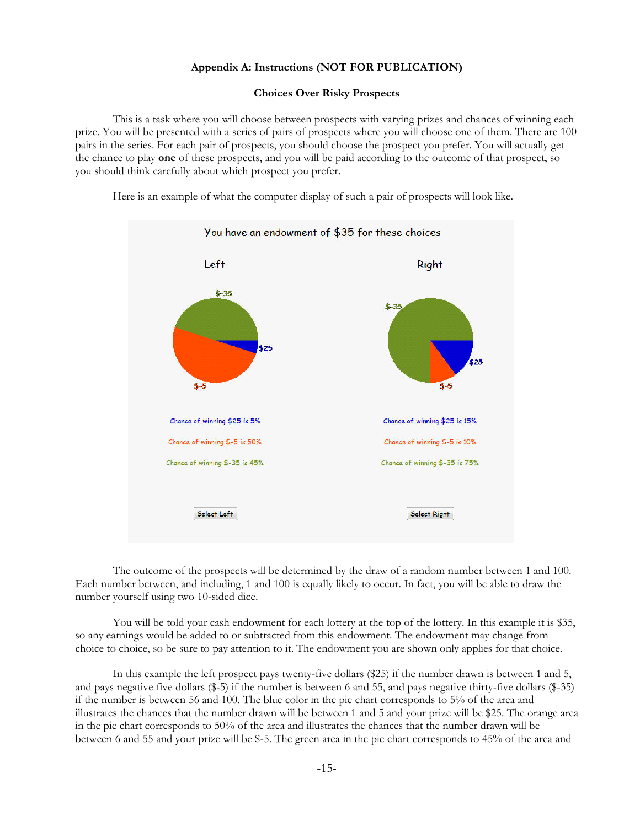#### **Appendix A: Instructions (NOT FOR PUBLICATION)**

#### **Choices Over Risky Prospects**

This is a task where you will choose between prospects with varying prizes and chances of winning each prize. You will be presented with a series of pairs of prospects where you will choose one of them. There are 100 pairs in the series. For each pair of prospects, you should choose the prospect you prefer. You will actually get the chance to play **one** of these prospects, and you will be paid according to the outcome of that prospect, so you should think carefully about which prospect you prefer.

Here is an example of what the computer display of such a pair of prospects will look like.



The outcome of the prospects will be determined by the draw of a random number between 1 and 100. Each number between, and including, 1 and 100 is equally likely to occur. In fact, you will be able to draw the number yourself using two 10-sided dice.

You will be told your cash endowment for each lottery at the top of the lottery. In this example it is \$35, so any earnings would be added to or subtracted from this endowment. The endowment may change from choice to choice, so be sure to pay attention to it. The endowment you are shown only applies for that choice.

In this example the left prospect pays twenty-five dollars (\$25) if the number drawn is between 1 and 5, and pays negative five dollars (\$-5) if the number is between 6 and 55, and pays negative thirty-five dollars (\$-35) if the number is between 56 and 100. The blue color in the pie chart corresponds to 5% of the area and illustrates the chances that the number drawn will be between 1 and 5 and your prize will be \$25. The orange area in the pie chart corresponds to 50% of the area and illustrates the chances that the number drawn will be between 6 and 55 and your prize will be \$-5. The green area in the pie chart corresponds to 45% of the area and